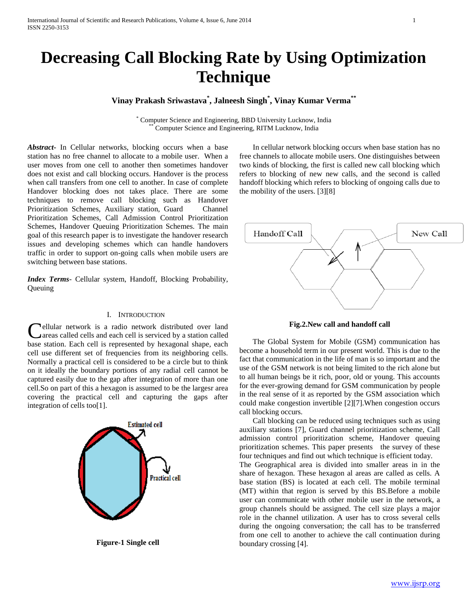# **Decreasing Call Blocking Rate by Using Optimization Technique**

# **Vinay Prakash Sriwastava\* , Jalneesh Singh\* , Vinay Kumar Verma\*\***

\* Computer Science and Engineering, BBD University Lucknow, India Computer Science and Engineering, RITM Lucknow, India

*Abstract***-** In Cellular networks, blocking occurs when a base station has no free channel to allocate to a mobile user. When a user moves from one cell to another then sometimes handover does not exist and call blocking occurs. Handover is the process when call transfers from one cell to another. In case of complete Handover blocking does not takes place. There are some techniques to remove call blocking such as Handover Prioritization Schemes, Auxiliary station, Guard Channel Prioritization Schemes, Call Admission Control Prioritization Schemes, Handover Queuing Prioritization Schemes. The main goal of this research paper is to investigate the handover research issues and developing schemes which can handle handovers traffic in order to support on-going calls when mobile users are switching between base stations.

*Index Terms*- Cellular system, Handoff, Blocking Probability, **Queuing** 

## I. INTRODUCTION

ellular network is a radio network distributed over land areas called cells and each cell is serviced by a station called **C**ellular network is a radio network distributed over land areas called cells and each cell is serviced by a station called base station. Each cell is represented by hexagonal shape, each cell use different set of frequencies from its neighboring cells. Normally a practical cell is considered to be a circle but to think on it ideally the boundary portions of any radial cell cannot be captured easily due to the gap after integration of more than one cell.So on part of this a hexagon is assumed to be the largesr area covering the practical cell and capturing the gaps after integration of cells too[1].



**Figure-1 Single cell**

 In cellular network blocking occurs when base station has no free channels to allocate mobile users. One distinguishes between two kinds of blocking, the first is called new call blocking which refers to blocking of new new calls, and the second is called handoff blocking which refers to blocking of ongoing calls due to the mobility of the users. [3][8]



**Fig.2.New call and handoff call**

 The Global System for Mobile (GSM) communication has become a household term in our present world. This is due to the fact that communication in the life of man is so important and the use of the GSM network is not being limited to the rich alone but to all human beings be it rich, poor, old or young. This accounts for the ever-growing demand for GSM communication by people in the real sense of it as reported by the GSM association which could make congestion invertible [2][7].When congestion occurs call blocking occurs.

 Call blocking can be reduced using techniques such as using auxiliary stations [7], Guard channel prioritization scheme, Call admission control prioritization scheme, Handover queuing prioritization schemes. This paper presents the survey of these four techniques and find out which technique is efficient today. The Geographical area is divided into smaller areas in in the share of hexagon. These hexagon al areas are called as cells. A base station (BS) is located at each cell. The mobile terminal (MT) within that region is served by this BS.Before a mobile user can communicate with other mobile user in the network, a group channels should be assigned. The cell size plays a major role in the channel utilization. A user has to cross several cells during the ongoing conversation; the call has to be transferred from one cell to another to achieve the call continuation during boundary crossing [4].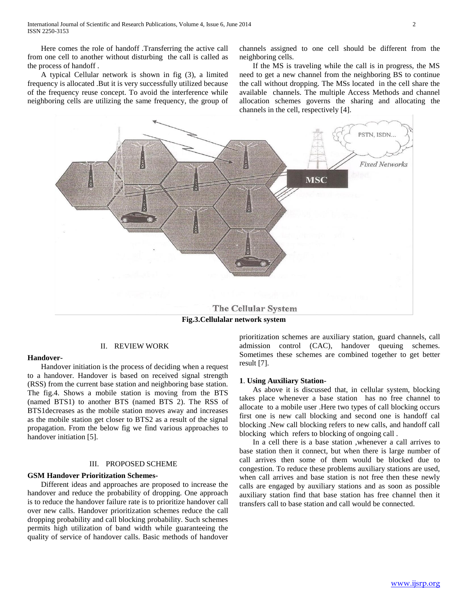Here comes the role of handoff .Transferring the active call from one cell to another without disturbing the call is called as the process of handoff .

 A typical Cellular network is shown in fig (3), a limited frequency is allocated .But it is very successfully utilized because of the frequency reuse concept. To avoid the interference while neighboring cells are utilizing the same frequency, the group of channels assigned to one cell should be different from the neighboring cells.

 If the MS is traveling while the call is in progress, the MS need to get a new channel from the neighboring BS to continue the call without dropping. The MSs located in the cell share the available channels. The multiple Access Methods and channel allocation schemes governs the sharing and allocating the channels in the cell, respectively [4].



# **Fig.3.Cellulalar network system**

#### II. REVIEW WORK

## **Handover-**

 Handover initiation is the process of deciding when a request to a handover. Handover is based on received signal strength (RSS) from the current base station and neighboring base station. The fig.4. Shows a mobile station is moving from the BTS (named BTS1) to another BTS (named BTS 2). The RSS of BTS1decreases as the mobile station moves away and increases as the mobile station get closer to BTS2 as a result of the signal propagation. From the below fig we find various approaches to handover initiation [5].

#### III. PROPOSED SCHEME

#### **GSM Handover Prioritization Schemes-**

 Different ideas and approaches are proposed to increase the handover and reduce the probability of dropping. One approach is to reduce the handover failure rate is to prioritize handover call over new calls. Handover prioritization schemes reduce the call dropping probability and call blocking probability. Such schemes permits high utilization of band width while guaranteeing the quality of service of handover calls. Basic methods of handover prioritization schemes are auxiliary station, guard channels, call admission control (CAC), handover queuing schemes. Sometimes these schemes are combined together to get better result [7].

#### **1**. **Using Auxiliary Station-**

 As above it is discussed that, in cellular system, blocking takes place whenever a base station has no free channel to allocate to a mobile user .Here two types of call blocking occurs first one is new call blocking and second one is handoff cal blocking .New call blocking refers to new calls, and handoff call blocking which refers to blocking of ongoing call .

 In a cell there is a base station ,whenever a call arrives to base station then it connect, but when there is large number of call arrives then some of them would be blocked due to congestion. To reduce these problems auxiliary stations are used, when call arrives and base station is not free then these newly calls are engaged by auxiliary stations and as soon as possible auxiliary station find that base station has free channel then it transfers call to base station and call would be connected.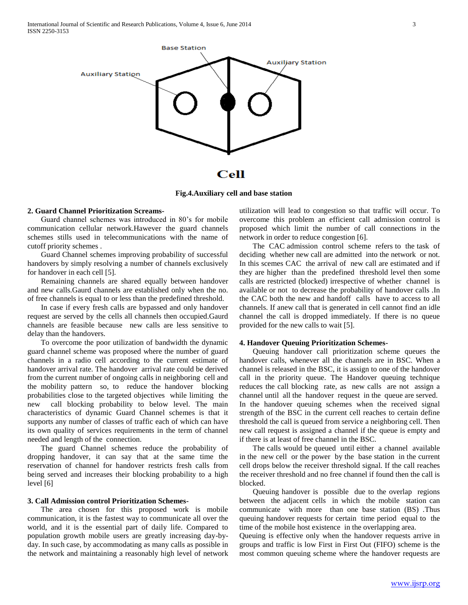

**Fig.4.Auxiliary cell and base station**

#### **2. Guard Channel Prioritization Screams-**

 Guard channel schemes was introduced in 80's for mobile communication cellular network.Hawever the guard channels schemes stills used in telecommunications with the name of cutoff priority schemes .

 Guard Channel schemes improving probability of successful handovers by simply resolving a number of channels exclusively for handover in each cell [5].

 Remaining channels are shared equally between handover and new calls.Gaurd channels are established only when the no. of free channels is equal to or less than the predefined threshold.

 In case if every fresh calls are bypassed and only handover request are served by the cells all channels then occupied.Gaurd channels are feasible because new calls are less sensitive to delay than the handovers.

 To overcome the poor utilization of bandwidth the dynamic guard channel scheme was proposed where the number of guard channels in a radio cell according to the current estimate of handover arrival rate. The handover arrival rate could be derived from the current number of ongoing calls in neighboring cell and the mobility pattern so, to reduce the handover blocking probabilities close to the targeted objectives while limiting the new call blocking probability to below level. The main characteristics of dynamic Guard Channel schemes is that it supports any number of classes of traffic each of which can have its own quality of services requirements in the term of channel needed and length of the connection.

 The guard Channel schemes reduce the probability of dropping handover, it can say that at the same time the reservation of channel for handover restricts fresh calls from being served and increases their blocking probability to a high level [6]

### **3. Call Admission control Prioritization Schemes-**

 The area chosen for this proposed work is mobile communication, it is the fastest way to communicate all over the world, and it is the essential part of daily life. Compared to population growth mobile users are greatly increasing day-byday. In such case, by accommodating as many calls as possible in the network and maintaining a reasonably high level of network utilization will lead to congestion so that traffic will occur. To overcome this problem an efficient call admission control is proposed which limit the number of call connections in the network in order to reduce congestion [6].

 The CAC admission control scheme refers to the task of deciding whether new call are admitted into the network or not. In this scemes CAC the arrival of new call are estimated and if they are higher than the predefined threshold level then some calls are restricted (blocked) irrespective of whether channel is available or not to decrease the probability of handover calls .In the CAC both the new and handoff calls have to access to all channels. If anew call that is generated in cell cannot find an idle channel the call is dropped immediately. If there is no queue provided for the new calls to wait [5].

#### **4. Handover Queuing Prioritization Schemes-**

 Queuing handover call prioritization scheme queues the handover calls, whenever all the channels are in BSC. When a channel is released in the BSC, it is assign to one of the handover call in the priority queue. The Handover queuing technique reduces the call blocking rate, as new calls are not assign a channel until all the handover request in the queue are served. In the handover queuing schemes when the received signal strength of the BSC in the current cell reaches to certain define threshold the call is queued from service a neighboring cell. Then new call request is assigned a channel if the queue is empty and if there is at least of free channel in the BSC.

 The calls would be queued until either a channel available in the new cell or the power by the base station in the current cell drops below the receiver threshold signal. If the call reaches the receiver threshold and no free channel if found then the call is blocked.

 Queuing handover is possible due to the overlap regions between the adjacent cells in which the mobile station can communicate with more than one base station (BS) .Thus queuing handover requests for certain time period equal to the time of the mobile host existence in the overlapping area.

Queuing is effective only when the handover requests arrive in groups and traffic is low First in First Out (FIFO) scheme is the most common queuing scheme where the handover requests are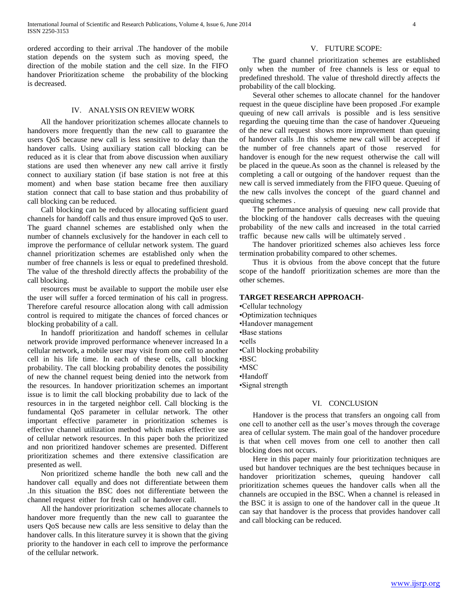ordered according to their arrival .The handover of the mobile station depends on the system such as moving speed, the direction of the mobile station and the cell size. In the FIFO handover Prioritization scheme the probability of the blocking is decreased.

#### IV. ANALYSIS ON REVIEW WORK

 All the handover prioritization schemes allocate channels to handovers more frequently than the new call to guarantee the users QoS because new call is less sensitive to delay than the handover calls. Using auxiliary station call blocking can be reduced as it is clear that from above discussion when auxiliary stations are used then whenever any new call arrive it firstly connect to auxiliary station (if base station is not free at this moment) and when base station became free then auxiliary station connect that call to base station and thus probability of call blocking can be reduced.

 Call blocking can be reduced by allocating sufficient guard channels for handoff calls and thus ensure improved QoS to user. The guard channel schemes are established only when the number of channels exclusively for the handover in each cell to improve the performance of cellular network system. The guard channel prioritization schemes are established only when the number of free channels is less or equal to predefined threshold. The value of the threshold directly affects the probability of the call blocking.

 resources must be available to support the mobile user else the user will suffer a forced termination of his call in progress. Therefore careful resource allocation along with call admission control is required to mitigate the chances of forced chances or blocking probability of a call.

 In handoff prioritization and handoff schemes in cellular network provide improved performance whenever increased In a cellular network, a mobile user may visit from one cell to another cell in his life time. In each of these cells, call blocking probability. The call blocking probability denotes the possibility of new the channel request being denied into the network from the resources. In handover prioritization schemes an important issue is to limit the call blocking probability due to lack of the resources in in the targeted neighbor cell. Call blocking is the fundamental QoS parameter in cellular network. The other important effective parameter in prioritization schemes is effective channel utilization method which makes effective use of cellular network resources. In this paper both the prioritized and non prioritized handover schemes are presented. Different prioritization schemes and there extensive classification are presented as well.

 Non prioritized scheme handle the both new call and the handover call equally and does not differentiate between them .In this situation the BSC does not differentiate between the channel request either for fresh call or handover call.

 All the handover prioritization schemes allocate channels to handover more frequently than the new call to guarantee the users QoS because new calls are less sensitive to delay than the handover calls. In this literature survey it is shown that the giving priority to the handover in each cell to improve the performance of the cellular network.

#### V. FUTURE SCOPE:

 The guard channel prioritization schemes are established only when the number of free channels is less or equal to predefined threshold. The value of threshold directly affects the probability of the call blocking.

 Several other schemes to allocate channel for the handover request in the queue discipline have been proposed .For example queuing of new call arrivals is possible and is less sensitive regarding the queuing time than the case of handover .Queueing of the new call request shows more improvement than queuing of handover calls .In this scheme new call will be accepted if the number of free channels apart of those reserved for handover is enough for the new request otherwise the call will be placed in the queue.As soon as the channel is released by the completing a call or outgoing of the handover request than the new call is served immediately from the FIFO queue. Queuing of the new calls involves the concept of the guard channel and queuing schemes .

 The performance analysis of queuing new call provide that the blocking of the handover calls decreases with the queuing probability of the new calls and increased in the total carried traffic because new calls will be ultimately served .

 The handover prioritized schemes also achieves less force termination probability compared to other schemes.

 Thus it is obvious from the above concept that the future scope of the handoff prioritization schemes are more than the other schemes.

#### **TARGET RESEARCH APPROACH**-

•Cellular technology •Optimization techniques •Handover management •Base stations •cells •Call blocking probability •BSC •MSC •Handoff •Signal strength

#### VI. CONCLUSION

 Handover is the process that transfers an ongoing call from one cell to another cell as the user's moves through the coverage area of cellular system. The main goal of the handover procedure is that when cell moves from one cell to another then call blocking does not occurs.

 Here in this paper mainly four prioritization techniques are used but handover techniques are the best techniques because in handover prioritization schemes, queuing handover call prioritization schemes queues the handover calls when all the channels are occupied in the BSC. When a channel is released in the BSC it is assign to one of the handover call in the queue .It can say that handover is the process that provides handover call and call blocking can be reduced.